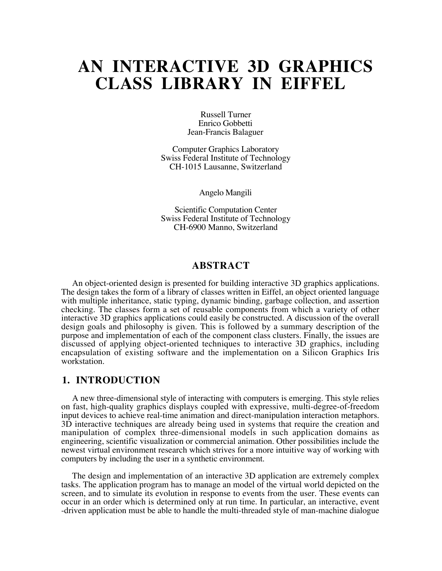# **AN INTERACTIVE 3D GRAPHICS CLASS LIBRARY IN EIFFEL**

Russell Turner Enrico Gobbetti Jean-Francis Balaguer

Computer Graphics Laboratory Swiss Federal Institute of Technology CH-1015 Lausanne, Switzerland

Angelo Mangili

Scientific Computation Center Swiss Federal Institute of Technology CH-6900 Manno, Switzerland

# **ABSTRACT**

An object-oriented design is presented for building interactive 3D graphics applications. The design takes the form of a library of classes written in Eiffel, an object oriented language with multiple inheritance, static typing, dynamic binding, garbage collection, and assertion checking. The classes form a set of reusable components from which a variety of other interactive 3D graphics applications could easily be constructed. A discussion of the overall design goals and philosophy is given. This is followed by a summary description of the purpose and implementation of each of the component class clusters. Finally, the issues are discussed of applying object-oriented techniques to interactive 3D graphics, including encapsulation of existing software and the implementation on a Silicon Graphics Iris workstation.

# **1. INTRODUCTION**

A new three-dimensional style of interacting with computers is emerging. This style relies on fast, high-quality graphics displays coupled with expressive, multi-degree-of-freedom input devices to achieve real-time animation and direct-manipulation interaction metaphors. 3D interactive techniques are already being used in systems that require the creation and manipulation of complex three-dimensional models in such application domains as engineering, scientific visualization or commercial animation. Other possibilities include the newest virtual environment research which strives for a more intuitive way of working with computers by including the user in a synthetic environment.

The design and implementation of an interactive 3D application are extremely complex tasks. The application program has to manage an model of the virtual world depicted on the screen, and to simulate its evolution in response to events from the user. These events can occur in an order which is determined only at run time. In particular, an interactive, event -driven application must be able to handle the multi-threaded style of man-machine dialogue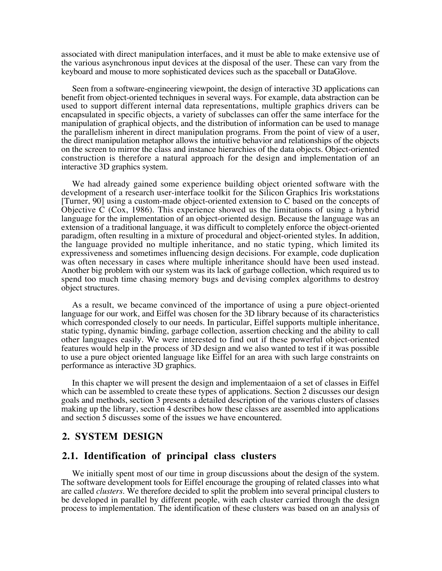associated with direct manipulation interfaces, and it must be able to make extensive use of the various asynchronous input devices at the disposal of the user. These can vary from the keyboard and mouse to more sophisticated devices such as the spaceball or DataGlove.

Seen from a software-engineering viewpoint, the design of interactive 3D applications can benefit from object-oriented techniques in several ways. For example, data abstraction can be used to support different internal data representations, multiple graphics drivers can be encapsulated in specific objects, a variety of subclasses can offer the same interface for the manipulation of graphical objects, and the distribution of information can be used to manage the parallelism inherent in direct manipulation programs. From the point of view of a user, the direct manipulation metaphor allows the intuitive behavior and relationships of the objects on the screen to mirror the class and instance hierarchies of the data objects. Object-oriented construction is therefore a natural approach for the design and implementation of an interactive 3D graphics system.

We had already gained some experience building object oriented software with the development of a research user-interface toolkit for the Silicon Graphics Iris workstations [Turner, 90] using a custom-made object-oriented extension to C based on the concepts of Objective C (Cox, 1986). This experience showed us the limitations of using a hybrid language for the implementation of an object-oriented design. Because the language was an extension of a traditional language, it was difficult to completely enforce the object-oriented paradigm, often resulting in a mixture of procedural and object-oriented styles. In addition, the language provided no multiple inheritance, and no static typing, which limited its expressiveness and sometimes influencing design decisions. For example, code duplication was often necessary in cases where multiple inheritance should have been used instead. Another big problem with our system was its lack of garbage collection, which required us to spend too much time chasing memory bugs and devising complex algorithms to destroy object structures.

As a result, we became convinced of the importance of using a pure object-oriented language for our work, and Eiffel was chosen for the 3D library because of its characteristics which corresponded closely to our needs. In particular, Eiffel supports multiple inheritance, static typing, dynamic binding, garbage collection, assertion checking and the ability to call other languages easily. We were interested to find out if these powerful object-oriented features would help in the process of 3D design and we also wanted to test if it was possible to use a pure object oriented language like Eiffel for an area with such large constraints on performance as interactive 3D graphics.

In this chapter we will present the design and implementaaion of a set of classes in Eiffel which can be assembled to create these types of applications. Section 2 discusses our design goals and methods, section 3 presents a detailed description of the various clusters of classes making up the library, section 4 describes how these classes are assembled into applications and section 5 discusses some of the issues we have encountered.

# **2. SYSTEM DESIGN**

# **2.1. Identification of principal class clusters**

We initially spent most of our time in group discussions about the design of the system. The software development tools for Eiffel encourage the grouping of related classes into what are called *clusters*. We therefore decided to split the problem into several principal clusters to be developed in parallel by different people, with each cluster carried through the design process to implementation. The identification of these clusters was based on an analysis of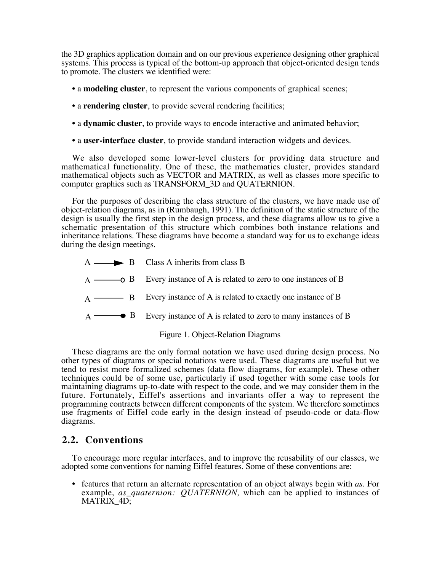the 3D graphics application domain and on our previous experience designing other graphical systems. This process is typical of the bottom-up approach that object-oriented design tends to promote. The clusters we identified were:

- a **modeling cluster**, to represent the various components of graphical scenes;
- a **rendering cluster**, to provide several rendering facilities;
- a **dynamic cluster**, to provide ways to encode interactive and animated behavior;
- a **user-interface cluster**, to provide standard interaction widgets and devices.

We also developed some lower-level clusters for providing data structure and mathematical functionality. One of these, the mathematics cluster, provides standard mathematical objects such as VECTOR and MATRIX, as well as classes more specific to computer graphics such as TRANSFORM\_3D and QUATERNION.

For the purposes of describing the class structure of the clusters, we have made use of object-relation diagrams, as in (Rumbaugh, 1991). The definition of the static structure of the design is usually the first step in the design process, and these diagrams allow us to give a schematic presentation of this structure which combines both instance relations and inheritance relations. These diagrams have become a standard way for us to exchange ideas during the design meetings.



Figure 1. Object-Relation Diagrams

These diagrams are the only formal notation we have used during design process. No other types of diagrams or special notations were used. These diagrams are useful but we tend to resist more formalized schemes (data flow diagrams, for example). These other techniques could be of some use, particularly if used together with some case tools for maintaining diagrams up-to-date with respect to the code, and we may consider them in the future. Fortunately, Eiffel's assertions and invariants offer a way to represent the programming contracts between different components of the system. We therefore sometimes use fragments of Eiffel code early in the design instead of pseudo-code or data-flow diagrams.

## **2.2. Conventions**

To encourage more regular interfaces, and to improve the reusability of our classes, we adopted some conventions for naming Eiffel features. Some of these conventions are:

• features that return an alternate representation of an object always begin with *as*. For example, *as quaternion: QUATERNION*, which can be applied to instances of MATRIX 4D;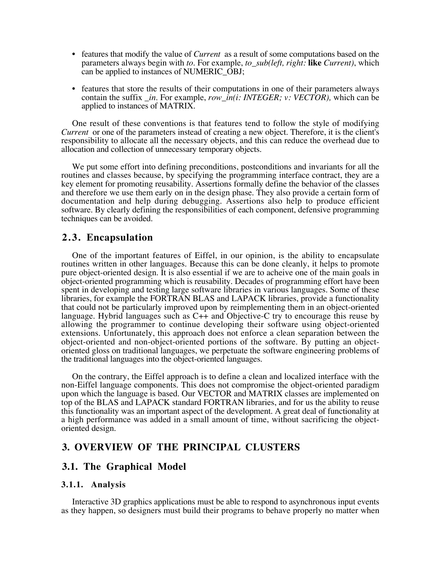- features that modify the value of *Current* as a result of some computations based on the parameters always begin with *to*. For example, *to\_sub(left, right:* **like** *Current)*, which can be applied to instances of NUMERIC\_OBJ;
- features that store the results of their computations in one of their parameters always contain the suffix *\_in*. For example, *row\_in(i: INTEGER; v: VECTOR),* which can be applied to instances of MATRIX.

One result of these conventions is that features tend to follow the style of modifying *Current* or one of the parameters instead of creating a new object. Therefore, it is the client's responsibility to allocate all the necessary objects, and this can reduce the overhead due to allocation and collection of unnecessary temporary objects.

We put some effort into defining preconditions, postconditions and invariants for all the routines and classes because, by specifying the programming interface contract, they are a key element for promoting reusability. Assertions formally define the behavior of the classes and therefore we use them early on in the design phase. They also provide a certain form of documentation and help during debugging. Assertions also help to produce efficient software. By clearly defining the responsibilities of each component, defensive programming techniques can be avoided.

# **2.3. Encapsulation**

One of the important features of Eiffel, in our opinion, is the ability to encapsulate routines written in other languages. Because this can be done cleanly, it helps to promote pure object-oriented design. It is also essential if we are to acheive one of the main goals in object-oriented programming which is reusability. Decades of programming effort have been spent in developing and testing large software libraries in various languages. Some of these libraries, for example the FORTRAN BLAS and LAPACK libraries, provide a functionality that could not be particularly improved upon by reimplementing them in an object-oriented language. Hybrid languages such as  $C++$  and Objective-C try to encourage this reuse by allowing the programmer to continue developing their software using object-oriented extensions. Unfortunately, this approach does not enforce a clean separation between the object-oriented and non-object-oriented portions of the software. By putting an objectoriented gloss on traditional languages, we perpetuate the software engineering problems of the traditional languages into the object-oriented languages.

On the contrary, the Eiffel approach is to define a clean and localized interface with the non-Eiffel language components. This does not compromise the object-oriented paradigm upon which the language is based. Our VECTOR and MATRIX classes are implemented on top of the BLAS and LAPACK standard FORTRAN libraries, and for us the ability to reuse this functionality was an important aspect of the development. A great deal of functionality at a high performance was added in a small amount of time, without sacrificing the objectoriented design.

# **3. OVERVIEW OF THE PRINCIPAL CLUSTERS**

# **3.1. The Graphical Model**

#### **3.1.1. Analysis**

Interactive 3D graphics applications must be able to respond to asynchronous input events as they happen, so designers must build their programs to behave properly no matter when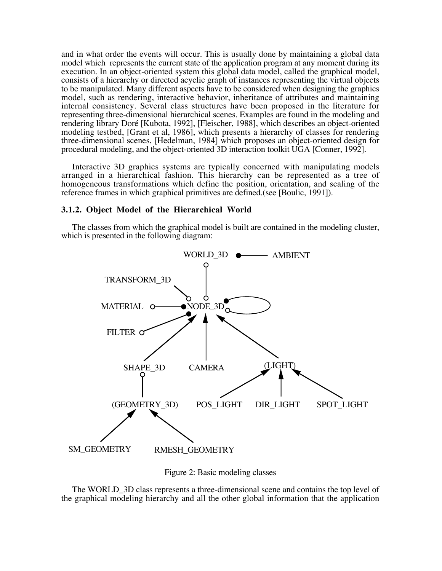and in what order the events will occur. This is usually done by maintaining a global data model which represents the current state of the application program at any moment during its execution. In an object-oriented system this global data model, called the graphical model, consists of a hierarchy or directed acyclic graph of instances representing the virtual objects to be manipulated. Many different aspects have to be considered when designing the graphics model, such as rendering, interactive behavior, inheritance of attributes and maintaining internal consistency. Several class structures have been proposed in the literature for representing three-dimensional hierarchical scenes. Examples are found in the modeling and rendering library Doré [Kubota, 1992], [Fleischer, 1988], which describes an object-oriented modeling testbed, [Grant et al, 1986], which presents a hierarchy of classes for rendering three-dimensional scenes, [Hedelman, 1984] which proposes an object-oriented design for procedural modeling, and the object-oriented 3D interaction toolkit UGA [Conner, 1992].

Interactive 3D graphics systems are typically concerned with manipulating models arranged in a hierarchical fashion. This hierarchy can be represented as a tree of homogeneous transformations which define the position, orientation, and scaling of the reference frames in which graphical primitives are defined.(see [Boulic, 1991]).

#### **3.1.2. Object Model of the Hierarchical World**

The classes from which the graphical model is built are contained in the modeling cluster, which is presented in the following diagram:



Figure 2: Basic modeling classes

The WORLD\_3D class represents a three-dimensional scene and contains the top level of the graphical modeling hierarchy and all the other global information that the application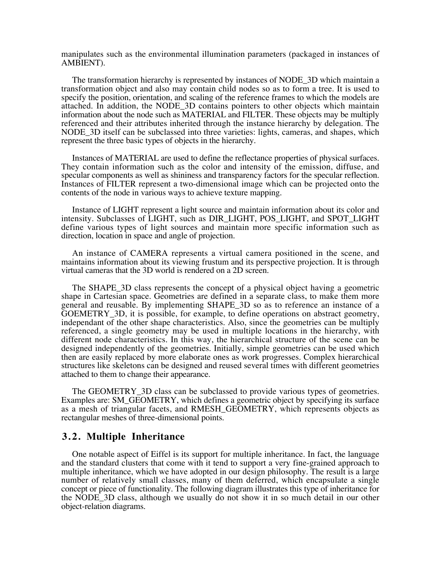manipulates such as the environmental illumination parameters (packaged in instances of AMBIENT).

The transformation hierarchy is represented by instances of NODE\_3D which maintain a transformation object and also may contain child nodes so as to form a tree. It is used to specify the position, orientation, and scaling of the reference frames to which the models are attached. In addition, the NODE\_3D contains pointers to other objects which maintain information about the node such as MATERIAL and FILTER. These objects may be multiply referenced and their attributes inherited through the instance hierarchy by delegation. The NODE 3D itself can be subclassed into three varieties: lights, cameras, and shapes, which represent the three basic types of objects in the hierarchy.

Instances of MATERIAL are used to define the reflectance properties of physical surfaces. They contain information such as the color and intensity of the emission, diffuse, and specular components as well as shininess and transparency factors for the specular reflection. Instances of FILTER represent a two-dimensional image which can be projected onto the contents of the node in various ways to achieve texture mapping.

Instance of LIGHT represent a light source and maintain information about its color and intensity. Subclasses of LIGHT, such as DIR\_LIGHT, POS\_LIGHT, and SPOT\_LIGHT define various types of light sources and maintain more specific information such as direction, location in space and angle of projection.

An instance of CAMERA represents a virtual camera positioned in the scene, and maintains information about its viewing frustum and its perspective projection. It is through virtual cameras that the 3D world is rendered on a 2D screen.

The SHAPE\_3D class represents the concept of a physical object having a geometric shape in Cartesian space. Geometries are defined in a separate class, to make them more general and reusable. By implementing SHAPE\_3D so as to reference an instance of a GOEMETRY\_3D, it is possible, for example, to define operations on abstract geometry, independant of the other shape characteristics. Also, since the geometries can be multiply referenced, a single geometry may be used in multiple locations in the hierarchy, with different node characteristics. In this way, the hierarchical structure of the scene can be designed independently of the geometries. Initially, simple geometries can be used which then are easily replaced by more elaborate ones as work progresses. Complex hierarchical structures like skeletons can be designed and reused several times with different geometries attached to them to change their appearance.

The GEOMETRY 3D class can be subclassed to provide various types of geometries. Examples are: SM\_GEOMETRY, which defines a geometric object by specifying its surface as a mesh of triangular facets, and RMESH\_GEOMETRY, which represents objects as rectangular meshes of three-dimensional points.

## **3.2. Multiple Inheritance**

One notable aspect of Eiffel is its support for multiple inheritance. In fact, the language and the standard clusters that come with it tend to support a very fine-grained approach to multiple inheritance, which we have adopted in our design philosophy. The result is a large number of relatively small classes, many of them deferred, which encapsulate a single concept or piece of functionality. The following diagram illustrates this type of inheritance for the NODE\_3D class, although we usually do not show it in so much detail in our other object-relation diagrams.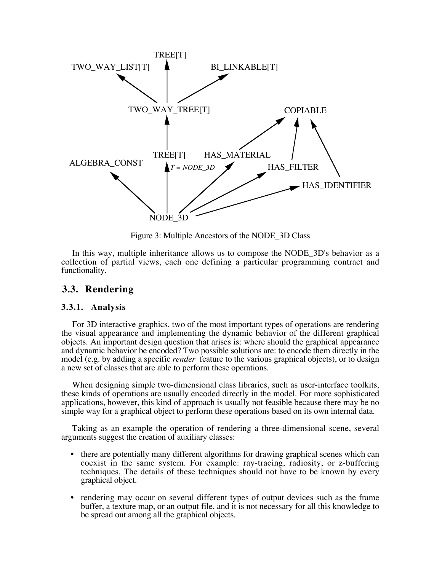

Figure 3: Multiple Ancestors of the NODE\_3D Class

In this way, multiple inheritance allows us to compose the NODE\_3D's behavior as a collection of partial views, each one defining a particular programming contract and functionality.

# **3.3. Rendering**

#### **3.3.1. Analysis**

For 3D interactive graphics, two of the most important types of operations are rendering the visual appearance and implementing the dynamic behavior of the different graphical objects. An important design question that arises is: where should the graphical appearance and dynamic behavior be encoded? Two possible solutions are: to encode them directly in the model (e.g. by adding a specific *render* feature to the various graphical objects), or to design a new set of classes that are able to perform these operations.

When designing simple two-dimensional class libraries, such as user-interface toolkits, these kinds of operations are usually encoded directly in the model. For more sophisticated applications, however, this kind of approach is usually not feasible because there may be no simple way for a graphical object to perform these operations based on its own internal data.

Taking as an example the operation of rendering a three-dimensional scene, several arguments suggest the creation of auxiliary classes:

- there are potentially many different algorithms for drawing graphical scenes which can coexist in the same system. For example: ray-tracing, radiosity, or z-buffering techniques. The details of these techniques should not have to be known by every graphical object.
- rendering may occur on several different types of output devices such as the frame buffer, a texture map, or an output file, and it is not necessary for all this knowledge to be spread out among all the graphical objects.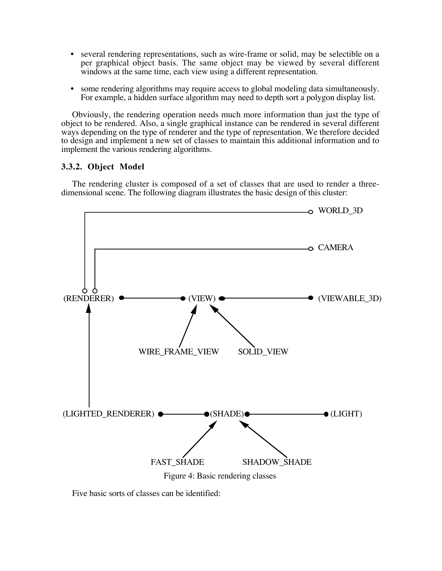- several rendering representations, such as wire-frame or solid, may be selectible on a per graphical object basis. The same object may be viewed by several different windows at the same time, each view using a different representation.
- some rendering algorithms may require access to global modeling data simultaneously. For example, a hidden surface algorithm may need to depth sort a polygon display list.

Obviously, the rendering operation needs much more information than just the type of object to be rendered. Also, a single graphical instance can be rendered in several different ways depending on the type of renderer and the type of representation. We therefore decided to design and implement a new set of classes to maintain this additional information and to implement the various rendering algorithms.

## **3.3.2. Object Model**

The rendering cluster is composed of a set of classes that are used to render a threedimensional scene. The following diagram illustrates the basic design of this cluster:



Five basic sorts of classes can be identified: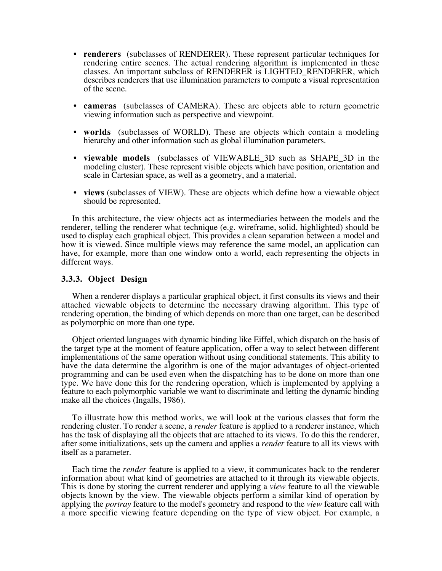- **renderers** (subclasses of RENDERER). These represent particular techniques for rendering entire scenes. The actual rendering algorithm is implemented in these classes. An important subclass of RENDERER is LIGHTED\_RENDERER, which describes renderers that use illumination parameters to compute a visual representation of the scene.
- **cameras** (subclasses of CAMERA). These are objects able to return geometric viewing information such as perspective and viewpoint.
- **worlds** (subclasses of WORLD). These are objects which contain a modeling hierarchy and other information such as global illumination parameters.
- **viewable models** (subclasses of VIEWABLE\_3D such as SHAPE\_3D in the modeling cluster). These represent visible objects which have position, orientation and scale in Cartesian space, as well as a geometry, and a material.
- **views** (subclasses of VIEW). These are objects which define how a viewable object should be represented.

In this architecture, the view objects act as intermediaries between the models and the renderer, telling the renderer what technique (e.g. wireframe, solid, highlighted) should be used to display each graphical object. This provides a clean separation between a model and how it is viewed. Since multiple views may reference the same model, an application can have, for example, more than one window onto a world, each representing the objects in different ways.

#### **3.3.3. Object Design**

When a renderer displays a particular graphical object, it first consults its views and their attached viewable objects to determine the necessary drawing algorithm. This type of rendering operation, the binding of which depends on more than one target, can be described as polymorphic on more than one type.

Object oriented languages with dynamic binding like Eiffel, which dispatch on the basis of the target type at the moment of feature application, offer a way to select between different implementations of the same operation without using conditional statements. This ability to have the data determine the algorithm is one of the major advantages of object-oriented programming and can be used even when the dispatching has to be done on more than one type. We have done this for the rendering operation, which is implemented by applying a feature to each polymorphic variable we want to discriminate and letting the dynamic binding make all the choices (Ingalls, 1986).

To illustrate how this method works, we will look at the various classes that form the rendering cluster. To render a scene, a *render* feature is applied to a renderer instance, which has the task of displaying all the objects that are attached to its views. To do this the renderer, after some initializations, sets up the camera and applies a *render* feature to all its views with itself as a parameter.

Each time the *render* feature is applied to a view, it communicates back to the renderer information about what kind of geometries are attached to it through its viewable objects. This is done by storing the current renderer and applying a *view* feature to all the viewable objects known by the view. The viewable objects perform a similar kind of operation by applying the *portray* feature to the model's geometry and respond to the *view* feature call with a more specific viewing feature depending on the type of view object. For example, a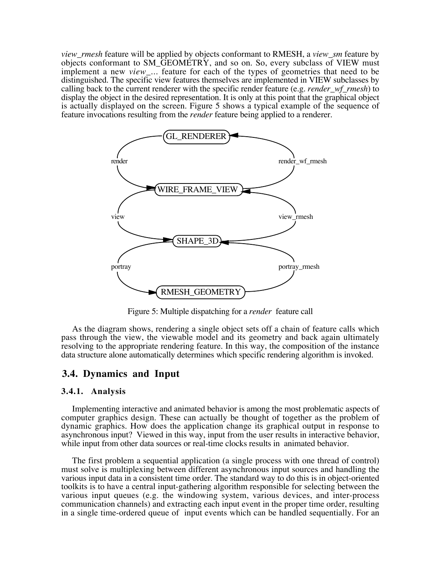*view\_rmesh* feature will be applied by objects conformant to RMESH, a *view\_sm* feature by objects conformant to SM\_GEOMETRY, and so on. So, every subclass of VIEW must implement a new *view\_...* feature for each of the types of geometries that need to be distinguished. The specific view features themselves are implemented in VIEW subclasses by calling back to the current renderer with the specific render feature (e.g. *render\_wf\_rmesh*) to display the object in the desired representation. It is only at this point that the graphical object is actually displayed on the screen. Figure 5 shows a typical example of the sequence of feature invocations resulting from the *render* feature being applied to a renderer.



Figure 5: Multiple dispatching for a *render* feature call

As the diagram shows, rendering a single object sets off a chain of feature calls which pass through the view, the viewable model and its geometry and back again ultimately resolving to the appropriate rendering feature. In this way, the composition of the instance data structure alone automatically determines which specific rendering algorithm is invoked.

# **3.4. Dynamics and Input**

#### **3.4.1. Analysis**

Implementing interactive and animated behavior is among the most problematic aspects of computer graphics design. These can actually be thought of together as the problem of dynamic graphics. How does the application change its graphical output in response to asynchronous input? Viewed in this way, input from the user results in interactive behavior, while input from other data sources or real-time clocks results in animated behavior.

The first problem a sequential application (a single process with one thread of control) must solve is multiplexing between different asynchronous input sources and handling the various input data in a consistent time order. The standard way to do this is in object-oriented toolkits is to have a central input-gathering algorithm responsible for selecting between the various input queues (e.g. the windowing system, various devices, and inter-process communication channels) and extracting each input event in the proper time order, resulting in a single time-ordered queue of input events which can be handled sequentially. For an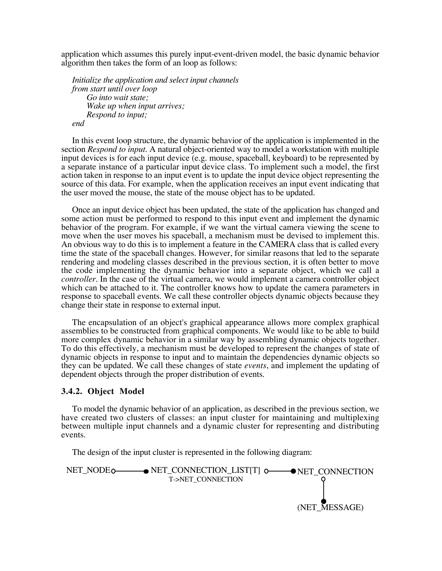application which assumes this purely input-event-driven model, the basic dynamic behavior algorithm then takes the form of an loop as follows:

*Initialize the application and select input channels from start until over loop Go into wait state; Wake up when input arrives; Respond to input; end*

In this event loop structure, the dynamic behavior of the application is implemented in the section *Respond to input.* A natural object-oriented way to model a workstation with multiple input devices is for each input device (e.g. mouse, spaceball, keyboard) to be represented by a separate instance of a particular input device class. To implement such a model, the first action taken in response to an input event is to update the input device object representing the source of this data. For example, when the application receives an input event indicating that the user moved the mouse, the state of the mouse object has to be updated.

Once an input device object has been updated, the state of the application has changed and some action must be performed to respond to this input event and implement the dynamic behavior of the program. For example, if we want the virtual camera viewing the scene to move when the user moves his spaceball, a mechanism must be devised to implement this. An obvious way to do this is to implement a feature in the CAMERA class that is called every time the state of the spaceball changes. However, for similar reasons that led to the separate rendering and modeling classes described in the previous section, it is often better to move the code implementing the dynamic behavior into a separate object, which we call a *controller*. In the case of the virtual camera, we would implement a camera controller object which can be attached to it. The controller knows how to update the camera parameters in response to spaceball events. We call these controller objects dynamic objects because they change their state in response to external input.

The encapsulation of an object's graphical appearance allows more complex graphical assemblies to be constructed from graphical components. We would like to be able to build more complex dynamic behavior in a similar way by assembling dynamic objects together. To do this effectively, a mechanism must be developed to represent the changes of state of dynamic objects in response to input and to maintain the dependencies dynamic objects so they can be updated. We call these changes of state *events*, and implement the updating of dependent objects through the proper distribution of events.

#### **3.4.2. Object Model**

To model the dynamic behavior of an application, as described in the previous section, we have created two clusters of classes: an input cluster for maintaining and multiplexing between multiple input channels and a dynamic cluster for representing and distributing events.

The design of the input cluster is represented in the following diagram:

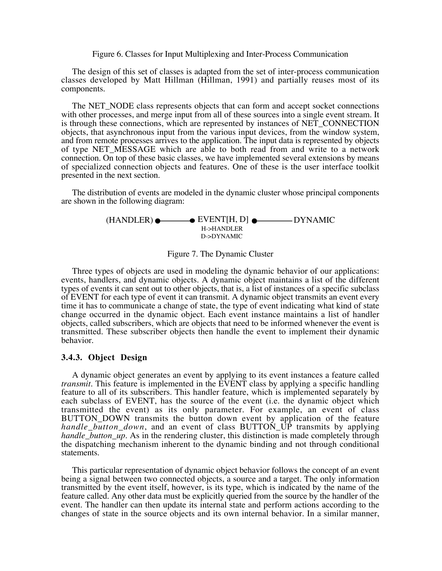#### Figure 6. Classes for Input Multiplexing and Inter-Process Communication

The design of this set of classes is adapted from the set of inter-process communication classes developed by Matt Hillman (Hillman, 1991) and partially reuses most of its components.

The NET NODE class represents objects that can form and accept socket connections with other processes, and merge input from all of these sources into a single event stream. It is through these connections, which are represented by instances of NET\_CONNECTION objects, that asynchronous input from the various input devices, from the window system, and from remote processes arrives to the application. The input data is represented by objects of type NET\_MESSAGE which are able to both read from and write to a network connection. On top of these basic classes, we have implemented several extensions by means of specialized connection objects and features. One of these is the user interface toolkit presented in the next section.

The distribution of events are modeled in the dynamic cluster whose principal components are shown in the following diagram:



Figure 7. The Dynamic Cluster

Three types of objects are used in modeling the dynamic behavior of our applications: events, handlers, and dynamic objects. A dynamic object maintains a list of the different types of events it can sent out to other objects, that is, a list of instances of a specific subclass of EVENT for each type of event it can transmit. A dynamic object transmits an event every time it has to communicate a change of state, the type of event indicating what kind of state change occurred in the dynamic object. Each event instance maintains a list of handler objects, called subscribers, which are objects that need to be informed whenever the event is transmitted. These subscriber objects then handle the event to implement their dynamic behavior.

#### **3.4.3. Object Design**

A dynamic object generates an event by applying to its event instances a feature called *transmit*. This feature is implemented in the EVENT class by applying a specific handling feature to all of its subscribers. This handler feature, which is implemented separately by each subclass of EVENT, has the source of the event (i.e. the dynamic object which transmitted the event) as its only parameter. For example, an event of class BUTTON\_DOWN transmits the button down event by application of the feature *handle\_button\_down*, and an event of class BUTTON\_UP transmits by applying *handle\_button\_up*. As in the rendering cluster, this distinction is made completely through the dispatching mechanism inherent to the dynamic binding and not through conditional statements.

This particular representation of dynamic object behavior follows the concept of an event being a signal between two connected objects, a source and a target. The only information transmitted by the event itself, however, is its type, which is indicated by the name of the feature called. Any other data must be explicitly queried from the source by the handler of the event. The handler can then update its internal state and perform actions according to the changes of state in the source objects and its own internal behavior. In a similar manner,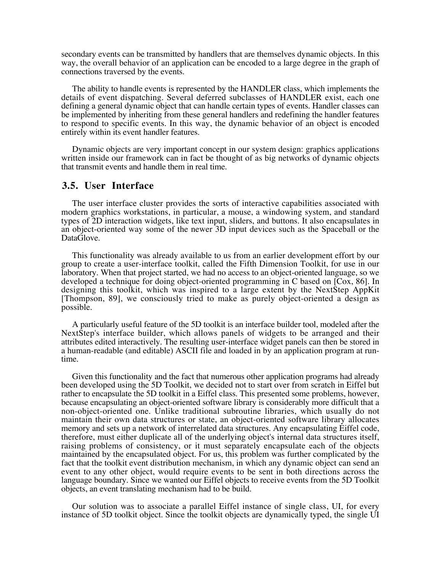secondary events can be transmitted by handlers that are themselves dynamic objects. In this way, the overall behavior of an application can be encoded to a large degree in the graph of connections traversed by the events.

The ability to handle events is represented by the HANDLER class, which implements the details of event dispatching. Several deferred subclasses of HANDLER exist, each one defining a general dynamic object that can handle certain types of events. Handler classes can be implemented by inheriting from these general handlers and redefining the handler features to respond to specific events. In this way, the dynamic behavior of an object is encoded entirely within its event handler features.

Dynamic objects are very important concept in our system design: graphics applications written inside our framework can in fact be thought of as big networks of dynamic objects that transmit events and handle them in real time.

#### **3.5. User Interface**

The user interface cluster provides the sorts of interactive capabilities associated with modern graphics workstations, in particular, a mouse, a windowing system, and standard types of 2D interaction widgets, like text input, sliders, and buttons. It also encapsulates in an object-oriented way some of the newer 3D input devices such as the Spaceball or the DataGlove.

This functionality was already available to us from an earlier development effort by our group to create a user-interface toolkit, called the Fifth Dimension Toolkit, for use in our laboratory. When that project started, we had no access to an object-oriented language, so we developed a technique for doing object-oriented programming in C based on [Cox, 86]. In designing this toolkit, which was inspired to a large extent by the NextStep AppKit [Thompson, 89], we consciously tried to make as purely object-oriented a design as possible.

A particularly useful feature of the 5D toolkit is an interface builder tool, modeled after the NextStep's interface builder, which allows panels of widgets to be arranged and their attributes edited interactively. The resulting user-interface widget panels can then be stored in a human-readable (and editable) ASCII file and loaded in by an application program at runtime.

Given this functionality and the fact that numerous other application programs had already been developed using the 5D Toolkit, we decided not to start over from scratch in Eiffel but rather to encapsulate the 5D toolkit in a Eiffel class. This presented some problems, however, because encapsulating an object-oriented software library is considerably more difficult that a non-object-oriented one. Unlike traditional subroutine libraries, which usually do not maintain their own data structures or state, an object-oriented software library allocates memory and sets up a network of interrelated data structures. Any encapsulating Eiffel code, therefore, must either duplicate all of the underlying object's internal data structures itself, raising problems of consistency, or it must separately encapsulate each of the objects maintained by the encapsulated object. For us, this problem was further complicated by the fact that the toolkit event distribution mechanism, in which any dynamic object can send an event to any other object, would require events to be sent in both directions across the language boundary. Since we wanted our Eiffel objects to receive events from the 5D Toolkit objects, an event translating mechanism had to be build.

Our solution was to associate a parallel Eiffel instance of single class, UI, for every instance of 5D toolkit object. Since the toolkit objects are dynamically typed, the single UI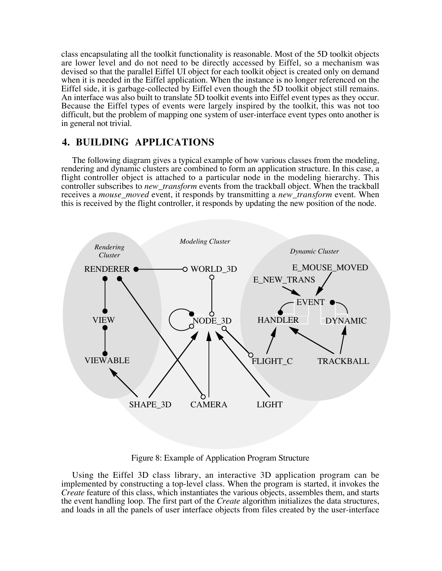class encapsulating all the toolkit functionality is reasonable. Most of the 5D toolkit objects are lower level and do not need to be directly accessed by Eiffel, so a mechanism was devised so that the parallel Eiffel UI object for each toolkit object is created only on demand when it is needed in the Eiffel application. When the instance is no longer referenced on the Eiffel side, it is garbage-collected by Eiffel even though the 5D toolkit object still remains. An interface was also built to translate 5D toolkit events into Eiffel event types as they occur. Because the Eiffel types of events were largely inspired by the toolkit, this was not too difficult, but the problem of mapping one system of user-interface event types onto another is in general not trivial.

# **4. BUILDING APPLICATIONS**

The following diagram gives a typical example of how various classes from the modeling, rendering and dynamic clusters are combined to form an application structure. In this case, a flight controller object is attached to a particular node in the modeling hierarchy. This controller subscribes to *new\_transform* events from the trackball object. When the trackball receives a *mouse\_moved* event, it responds by transmitting a *new\_transform* event. When this is received by the flight controller, it responds by updating the new position of the node.



Figure 8: Example of Application Program Structure

Using the Eiffel 3D class library, an interactive 3D application program can be implemented by constructing a top-level class. When the program is started, it invokes the *Create* feature of this class, which instantiates the various objects, assembles them, and starts the event handling loop. The first part of the *Create* algorithm initializes the data structures, and loads in all the panels of user interface objects from files created by the user-interface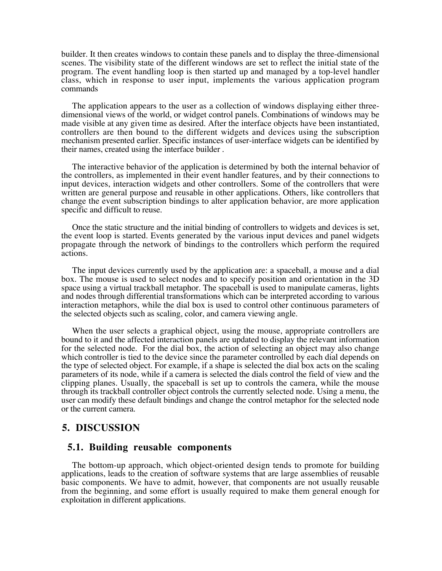builder. It then creates windows to contain these panels and to display the three-dimensional scenes. The visibility state of the different windows are set to reflect the initial state of the program. The event handling loop is then started up and managed by a top-level handler class, which in response to user input, implements the various application program commands

The application appears to the user as a collection of windows displaying either threedimensional views of the world, or widget control panels. Combinations of windows may be made visible at any given time as desired. After the interface objects have been instantiated, controllers are then bound to the different widgets and devices using the subscription mechanism presented earlier. Specific instances of user-interface widgets can be identified by their names, created using the interface builder .

The interactive behavior of the application is determined by both the internal behavior of the controllers, as implemented in their event handler features, and by their connections to input devices, interaction widgets and other controllers. Some of the controllers that were written are general purpose and reusable in other applications. Others, like controllers that change the event subscription bindings to alter application behavior, are more application specific and difficult to reuse.

Once the static structure and the initial binding of controllers to widgets and devices is set, the event loop is started. Events generated by the various input devices and panel widgets propagate through the network of bindings to the controllers which perform the required actions.

The input devices currently used by the application are: a spaceball, a mouse and a dial box. The mouse is used to select nodes and to specify position and orientation in the 3D space using a virtual trackball metaphor. The spaceball is used to manipulate cameras, lights and nodes through differential transformations which can be interpreted according to various interaction metaphors, while the dial box is used to control other continuous parameters of the selected objects such as scaling, color, and camera viewing angle.

When the user selects a graphical object, using the mouse, appropriate controllers are bound to it and the affected interaction panels are updated to display the relevant information for the selected node. For the dial box, the action of selecting an object may also change which controller is tied to the device since the parameter controlled by each dial depends on the type of selected object. For example, if a shape is selected the dial box acts on the scaling parameters of its node, while if a camera is selected the dials control the field of view and the clipping planes. Usually, the spaceball is set up to controls the camera, while the mouse through its trackball controller object controls the currently selected node. Using a menu, the user can modify these default bindings and change the control metaphor for the selected node or the current camera.

# **5. DISCUSSION**

# **5.1. Building reusable components**

The bottom-up approach, which object-oriented design tends to promote for building applications, leads to the creation of software systems that are large assemblies of reusable basic components. We have to admit, however, that components are not usually reusable from the beginning, and some effort is usually required to make them general enough for exploitation in different applications.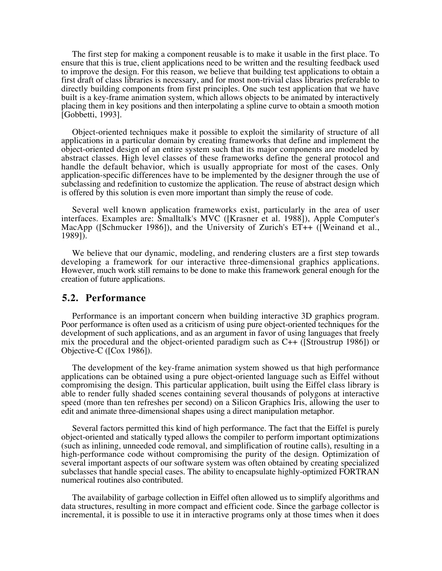The first step for making a component reusable is to make it usable in the first place. To ensure that this is true, client applications need to be written and the resulting feedback used to improve the design. For this reason, we believe that building test applications to obtain a first draft of class libraries is necessary, and for most non-trivial class libraries preferable to directly building components from first principles. One such test application that we have built is a key-frame animation system, which allows objects to be animated by interactively placing them in key positions and then interpolating a spline curve to obtain a smooth motion [Gobbetti, 1993].

Object-oriented techniques make it possible to exploit the similarity of structure of all applications in a particular domain by creating frameworks that define and implement the object-oriented design of an entire system such that its major components are modeled by abstract classes. High level classes of these frameworks define the general protocol and handle the default behavior, which is usually appropriate for most of the cases. Only application-specific differences have to be implemented by the designer through the use of subclassing and redefinition to customize the application. The reuse of abstract design which is offered by this solution is even more important than simply the reuse of code.

Several well known application frameworks exist, particularly in the area of user interfaces. Examples are: Smalltalk's MVC ([Krasner et al. 1988]), Apple Computer's MacApp ([Schmucker 1986]), and the University of Zurich's  $ET++$  ([Weinand et al., 1989]).

We believe that our dynamic, modeling, and rendering clusters are a first step towards developing a framework for our interactive three-dimensional graphics applications. However, much work still remains to be done to make this framework general enough for the creation of future applications.

#### **5.2. Performance**

Performance is an important concern when building interactive 3D graphics program. Poor performance is often used as a criticism of using pure object-oriented techniques for the development of such applications, and as an argument in favor of using languages that freely mix the procedural and the object-oriented paradigm such as  $C++$  (Stroustrup 1986)) or Objective-C ([Cox 1986]).

The development of the key-frame animation system showed us that high performance applications can be obtained using a pure object-oriented language such as Eiffel without compromising the design. This particular application, built using the Eiffel class library is able to render fully shaded scenes containing several thousands of polygons at interactive speed (more than ten refreshes per second) on a Silicon Graphics Iris, allowing the user to edit and animate three-dimensional shapes using a direct manipulation metaphor.

Several factors permitted this kind of high performance. The fact that the Eiffel is purely object-oriented and statically typed allows the compiler to perform important optimizations (such as inlining, unneeded code removal, and simplification of routine calls), resulting in a high-performance code without compromising the purity of the design. Optimization of several important aspects of our software system was often obtained by creating specialized subclasses that handle special cases. The ability to encapsulate highly-optimized FORTRAN numerical routines also contributed.

The availability of garbage collection in Eiffel often allowed us to simplify algorithms and data structures, resulting in more compact and efficient code. Since the garbage collector is incremental, it is possible to use it in interactive programs only at those times when it does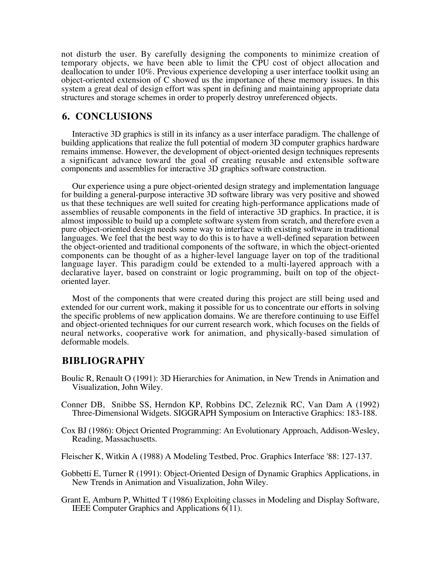not disturb the user. By carefully designing the components to minimize creation of temporary objects, we have been able to limit the CPU cost of object allocation and deallocation to under 10%. Previous experience developing a user interface toolkit using an object-oriented extension of C showed us the importance of these memory issues. In this system a great deal of design effort was spent in defining and maintaining appropriate data structures and storage schemes in order to properly destroy unreferenced objects.

# **6. CONCLUSIONS**

Interactive 3D graphics is still in its infancy as a user interface paradigm. The challenge of building applications that realize the full potential of modern 3D computer graphics hardware remains immense. However, the development of object-oriented design techniques represents a significant advance toward the goal of creating reusable and extensible software components and assemblies for interactive 3D graphics software construction.

Our experience using a pure object-oriented design strategy and implementation language for building a general-purpose interactive 3D software library was very positive and showed us that these techniques are well suited for creating high-performance applications made of assemblies of reusable components in the field of interactive 3D graphics. In practice, it is almost impossible to build up a complete software system from scratch, and therefore even a pure object-oriented design needs some way to interface with existing software in traditional languages. We feel that the best way to do this is to have a well-defined separation between the object-oriented and traditional components of the software, in which the object-oriented components can be thought of as a higher-level language layer on top of the traditional language layer. This paradigm could be extended to a multi-layered approach with a declarative layer, based on constraint or logic programming, built on top of the objectoriented layer.

Most of the components that were created during this project are still being used and extended for our current work, making it possible for us to concentrate our efforts in solving the specific problems of new application domains. We are therefore continuing to use Eiffel and object-oriented techniques for our current research work, which focuses on the fields of neural networks, cooperative work for animation, and physically-based simulation of deformable models.

# **BIBLIOGRAPHY**

- Boulic R, Renault O (1991): 3D Hierarchies for Animation, in New Trends in Animation and Visualization, John Wiley.
- Conner DB, Snibbe SS, Herndon KP, Robbins DC, Zeleznik RC, Van Dam A (1992) Three-Dimensional Widgets. SIGGRAPH Symposium on Interactive Graphics: 183-188.
- Cox BJ (1986): Object Oriented Programming: An Evolutionary Approach, Addison-Wesley, Reading, Massachusetts.
- Fleischer K, Witkin A (1988) A Modeling Testbed, Proc. Graphics Interface '88: 127-137.
- Gobbetti E, Turner R (1991): Object-Oriented Design of Dynamic Graphics Applications, in New Trends in Animation and Visualization, John Wiley.
- Grant E, Amburn P, Whitted T (1986) Exploiting classes in Modeling and Display Software, IEEE Computer Graphics and Applications 6(11).